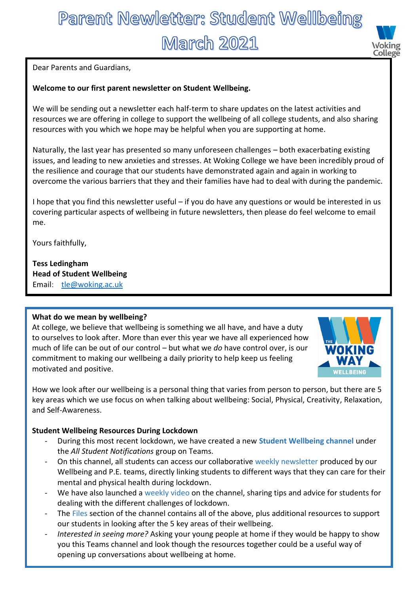# Parent Newletter: Student Wellbeing **March 2021**



Dear Parents and Guardians,

## **Welcome to our first parent newsletter on Student Wellbeing.**

We will be sending out a newsletter each half-term to share updates on the latest activities and resources we are offering in college to support the wellbeing of all college students, and also sharing resources with you which we hope may be helpful when you are supporting at home.

Naturally, the last year has presented so many unforeseen challenges – both exacerbating existing issues, and leading to new anxieties and stresses. At Woking College we have been incredibly proud of the resilience and courage that our students have demonstrated again and again in working to overcome the various barriers that they and their families have had to deal with during the pandemic.

I hope that you find this newsletter useful – if you do have any questions or would be interested in us covering particular aspects of wellbeing in future newsletters, then please do feel welcome to email me.

Yours faithfully,

**Tess Ledingham Head of Student Wellbeing** Email: [tle@woking.ac.uk](mailto:tle@woking.ac.uk)

### **What do we mean by wellbeing?**

At college, we believe that wellbeing is something we all have, and have a duty to ourselves to look after. More than ever this year we have all experienced how much of life can be out of our control – but what we *do* have control over, is our commitment to making our wellbeing a daily priority to help keep us feeling motivated and positive.



How we look after our wellbeing is a personal thing that varies from person to person, but there are 5 key areas which we use focus on when talking about wellbeing: Social, Physical, Creativity, Relaxation, and Self-Awareness.

### **Student Wellbeing Resources During Lockdown**

- During this most recent lockdown, we have created a new **Student Wellbeing channel** under the *All Student Notifications* group on Teams.
- On this channel, all students can access our collaborative weekly newsletter produced by our Wellbeing and P.E. teams, directly linking students to different ways that they can care for their mental and physical health during lockdown.
- We have also launched a weekly video on the channel, sharing tips and advice for students for dealing with the different challenges of lockdown.
- The Files section of the channel contains all of the above, plus additional resources to support our students in looking after the 5 key areas of their wellbeing.
- *Interested in seeing more?* Asking your young people at home if they would be happy to show you this Teams channel and look though the resources together could be a useful way of opening up conversations about wellbeing at home.